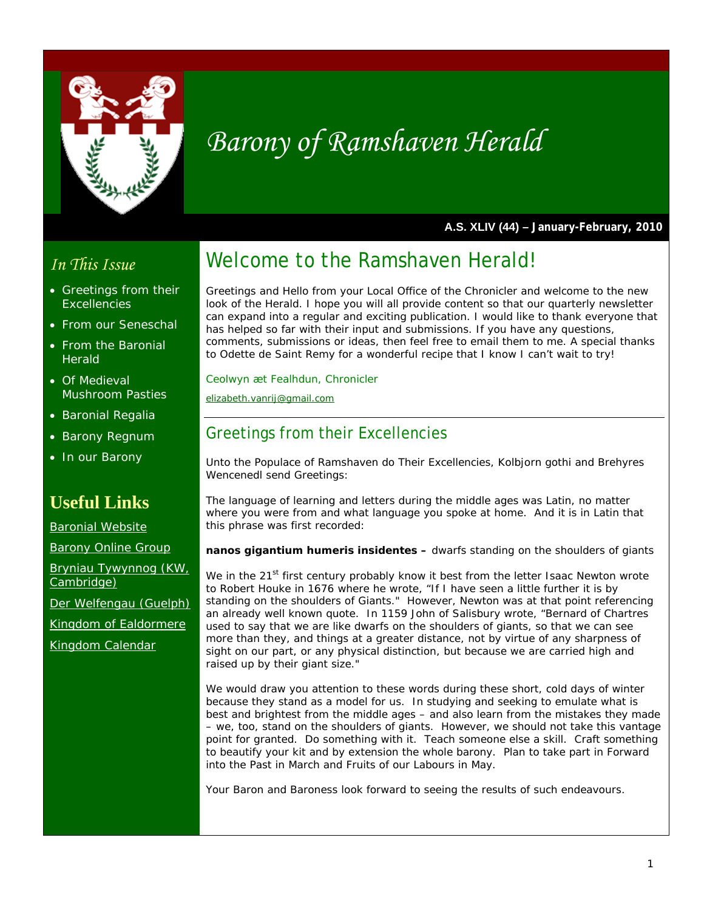

# *Barony of Ramshaven Herald*

**A.S. XLIV (44) – January-February, 2010** 

# *In This Issue*

- Greetings from their **Excellencies**
- From our Seneschal
- From the Baronial **Herald**
- Of Medieval Mushroom Pasties
- **Baronial Regalia**
- Barony Regnum
- In our Barony

# **Useful Links**

Baronial Website

Barony Online Group

Bryniau Tywynnog (KW, Cambridge)

Der Welfengau (Guelph)

Kingdom of Ealdormere

Kingdom Calendar

# Welcome to the Ramshaven Herald!

Greetings and Hello from your Local Office of the Chronicler and welcome to the new look of the Herald. I hope you will all provide content so that our quarterly newsletter can expand into a regular and exciting publication. I would like to thank everyone that has helped so far with their input and submissions. If you have any questions, comments, submissions or ideas, then feel free to email them to me. A special thanks to Odette de Saint Remy for a wonderful recipe that I know I can't wait to try!

*Ceolwyn æt Fealhdun, Chronicler* 

*elizabeth.vanrij@gmail.com*

# Greetings from their Excellencies

Unto the Populace of Ramshaven do Their Excellencies, Kolbjorn gothi and Brehyres Wencenedl send Greetings:

The language of learning and letters during the middle ages was Latin, no matter where you were from and what language you spoke at home. And it is in Latin that this phrase was first recorded:

*nanos gigantium humeris insidentes –* dwarfs standing on the shoulders of giants

We in the 21<sup>st</sup> first century probably know it best from the letter Isaac Newton wrote to Robert Houke in 1676 where he wrote, "If I have seen a little further it is by standing on the shoulders of Giants." However, Newton was at that point referencing an already well known quote. In 1159 John of Salisbury wrote, "Bernard of Chartres used to say that we are like dwarfs on the shoulders of giants, so that we can see more than they, and things at a greater distance, not by virtue of any sharpness of sight on our part, or any physical distinction, but because we are carried high and raised up by their giant size."

We would draw you attention to these words during these short, cold days of winter because they stand as a model for us. In studying and seeking to emulate what is best and brightest from the middle ages – and also learn from the mistakes they made – we, too, stand on the shoulders of giants. However, we should not take this vantage point for granted. Do something with it. Teach someone else a skill. Craft something to beautify your kit and by extension the whole barony. Plan to take part in Forward into the Past in March and Fruits of our Labours in May.

Your Baron and Baroness look forward to seeing the results of such endeavours.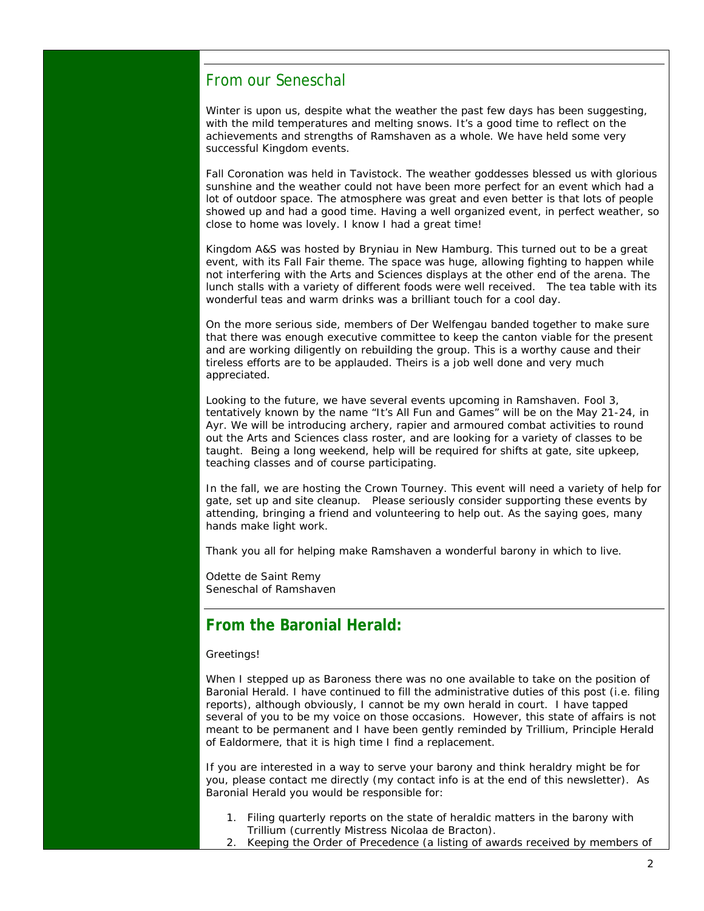### From our Seneschal

Winter is upon us, despite what the weather the past few days has been suggesting, with the mild temperatures and melting snows. It's a good time to reflect on the achievements and strengths of Ramshaven as a whole. We have held some very successful Kingdom events.

Fall Coronation was held in Tavistock. The weather goddesses blessed us with glorious sunshine and the weather could not have been more perfect for an event which had a lot of outdoor space. The atmosphere was great and even better is that lots of people showed up and had a good time. Having a well organized event, in perfect weather, so close to home was lovely. I know I had a great time!

Kingdom A&S was hosted by Bryniau in New Hamburg. This turned out to be a great event, with its Fall Fair theme. The space was huge, allowing fighting to happen while not interfering with the Arts and Sciences displays at the other end of the arena. The lunch stalls with a variety of different foods were well received. The tea table with its wonderful teas and warm drinks was a brilliant touch for a cool day.

On the more serious side, members of Der Welfengau banded together to make sure that there was enough executive committee to keep the canton viable for the present and are working diligently on rebuilding the group. This is a worthy cause and their tireless efforts are to be applauded. Theirs is a job well done and very much appreciated.

Looking to the future, we have several events upcoming in Ramshaven. Fool 3, tentatively known by the name "It's All Fun and Games" will be on the May 21-24, in Ayr. We will be introducing archery, rapier and armoured combat activities to round out the Arts and Sciences class roster, and are looking for a variety of classes to be taught. Being a long weekend, help will be required for shifts at gate, site upkeep, teaching classes and of course participating.

In the fall, we are hosting the Crown Tourney. This event will need a variety of help for gate, set up and site cleanup. Please seriously consider supporting these events by attending, bringing a friend and volunteering to help out. As the saying goes, many hands make light work.

Thank you all for helping make Ramshaven a wonderful barony in which to live.

Odette de Saint Remy Seneschal of Ramshaven

# **From the Baronial Herald:**

#### Greetings!

When I stepped up as Baroness there was no one available to take on the position of Baronial Herald. I have continued to fill the administrative duties of this post (i.e. filing reports), although obviously, I cannot be my own herald in court. I have tapped several of you to be my voice on those occasions. However, this state of affairs is not meant to be permanent and I have been gently reminded by Trillium, Principle Herald of Ealdormere, that it is high time I find a replacement.

If you are interested in a way to serve your barony and think heraldry might be for you, please contact me directly (my contact info is at the end of this newsletter). As Baronial Herald you would be responsible for:

- 1. Filing quarterly reports on the state of heraldic matters in the barony with Trillium (currently Mistress Nicolaa de Bracton).
- 2. Keeping the Order of Precedence (a listing of awards received by members of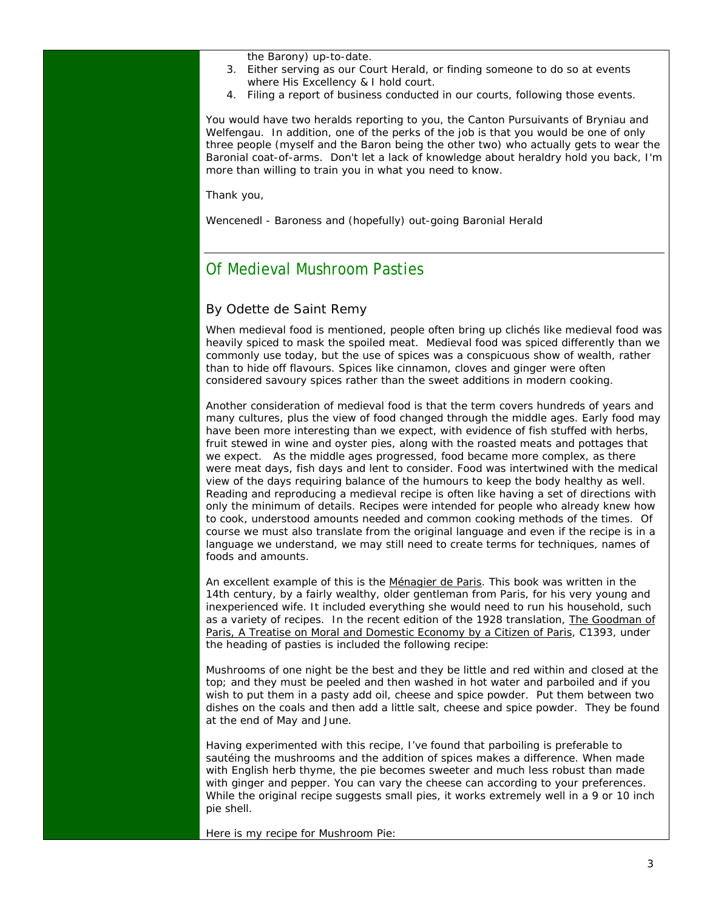the Barony) up-to-date.

- 3. Either serving as our Court Herald, or finding someone to do so at events where His Excellency & I hold court.
- 4. Filing a report of business conducted in our courts, following those events.

You would have two heralds reporting to you, the Canton Pursuivants of Bryniau and Welfengau. In addition, one of the perks of the job is that you would be one of only three people (myself and the Baron being the other two) who actually gets to wear the Baronial coat-of-arms. Don't let a lack of knowledge about heraldry hold you back, I'm more than willing to train you in what you need to know.

Thank you,

Wencenedl - Baroness and (hopefully) out-going Baronial Herald

### Of Medieval Mushroom Pasties

#### By Odette de Saint Remy

When medieval food is mentioned, people often bring up clichés like medieval food was heavily spiced to mask the spoiled meat. Medieval food was spiced differently than we commonly use today, but the use of spices was a conspicuous show of wealth, rather than to hide off flavours. Spices like cinnamon, cloves and ginger were often considered savoury spices rather than the sweet additions in modern cooking.

Another consideration of medieval food is that the term covers hundreds of years and many cultures, plus the view of food changed through the middle ages. Early food may have been more interesting than we expect, with evidence of fish stuffed with herbs, fruit stewed in wine and oyster pies, along with the roasted meats and pottages that we expect. As the middle ages progressed, food became more complex, as there were meat days, fish days and lent to consider. Food was intertwined with the medical view of the days requiring balance of the humours to keep the body healthy as well. Reading and reproducing a medieval recipe is often like having a set of directions with only the minimum of details. Recipes were intended for people who already knew how to cook, understood amounts needed and common cooking methods of the times. Of course we must also translate from the original language and even if the recipe is in a language we understand, we may still need to create terms for techniques, names of foods and amounts.

An excellent example of this is the Ménagier de Paris. This book was written in the 14th century, by a fairly wealthy, older gentleman from Paris, for his very young and inexperienced wife. It included everything she would need to run his household, such as a variety of recipes. In the recent edition of the 1928 translation, The Goodman of Paris, A Treatise on Moral and Domestic Economy by a Citizen of Paris, C1393, under the heading of pasties is included the following recipe:

*Mushrooms of one night be the best and they be little and red within and closed at the top; and they must be peeled and then washed in hot water and parboiled and if you wish to put them in a pasty add oil, cheese and spice powder. Put them between two dishes on the coals and then add a little salt, cheese and spice powder. They be found at the end of May and June.* 

Having experimented with this recipe, I've found that parboiling is preferable to sautéing the mushrooms and the addition of spices makes a difference. When made with English herb thyme, the pie becomes sweeter and much less robust than made with ginger and pepper. You can vary the cheese can according to your preferences. While the original recipe suggests small pies, it works extremely well in a 9 or 10 inch pie shell.

Here is my recipe for Mushroom Pie: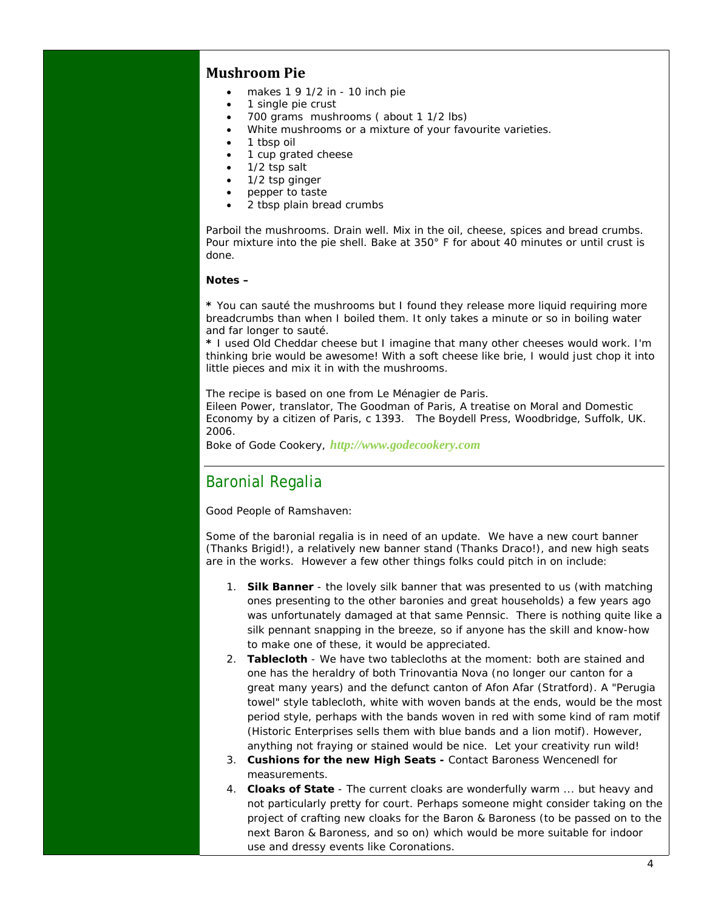#### **Mushroom Pie**

- makes 1 9 1/2 in 10 inch pie
- 1 single pie crust
- 700 grams mushrooms ( about 1 1/2 lbs)
- White mushrooms or a mixture of your favourite varieties.
- 1 tbsp oil
- 1 cup grated cheese
- 1/2 tsp salt
- 1/2 tsp ginger
- pepper to taste
- 2 tbsp plain bread crumbs

Parboil the mushrooms. Drain well. Mix in the oil, cheese, spices and bread crumbs. Pour mixture into the pie shell. Bake at 350° F for about 40 minutes or until crust is done.

#### **Notes –**

**\*** You can sauté the mushrooms but I found they release more liquid requiring more breadcrumbs than when I boiled them. It only takes a minute or so in boiling water and far longer to sauté.

**\*** I used Old Cheddar cheese but I imagine that many other cheeses would work. I'm thinking brie would be awesome! With a soft cheese like brie, I would just chop it into little pieces and mix it in with the mushrooms.

*The recipe is based on one from Le Ménagier de Paris.* 

*Eileen Power, translator, The Goodman of Paris, A treatise on Moral and Domestic Economy by a citizen of Paris, c 1393. The Boydell Press, Woodbridge, Suffolk, UK. 2006.* 

Boke of Gode Cookery, *http://www.godecookery.com*

#### Baronial Regalia

Good People of Ramshaven:

Some of the baronial regalia is in need of an update. We have a new court banner (Thanks Brigid!), a relatively new banner stand (Thanks Draco!), and new high seats are in the works. However a few other things folks could pitch in on include:

- 1. **Silk Banner** the lovely silk banner that was presented to us (with matching ones presenting to the other baronies and great households) a few years ago was unfortunately damaged at that same Pennsic. There is nothing quite like a silk pennant snapping in the breeze, so if anyone has the skill and know-how to make one of these, it would be appreciated.
- 2. **Tablecloth** We have two tablecloths at the moment: both are stained and one has the heraldry of both Trinovantia Nova (no longer our canton for a great many years) and the defunct canton of Afon Afar (Stratford). A "Perugia towel" style tablecloth, white with woven bands at the ends, would be the most period style, perhaps with the bands woven in red with some kind of ram motif (Historic Enterprises sells them with blue bands and a lion motif). However, anything not fraying or stained would be nice. Let your creativity run wild!
- 3. **Cushions for the new High Seats -** Contact Baroness Wencenedl for measurements.
- 4. **Cloaks of State** The current cloaks are wonderfully warm ... but heavy and not particularly pretty for court. Perhaps someone might consider taking on the project of crafting new cloaks for the Baron & Baroness (to be passed on to the next Baron & Baroness, and so on) which would be more suitable for indoor use and dressy events like Coronations.